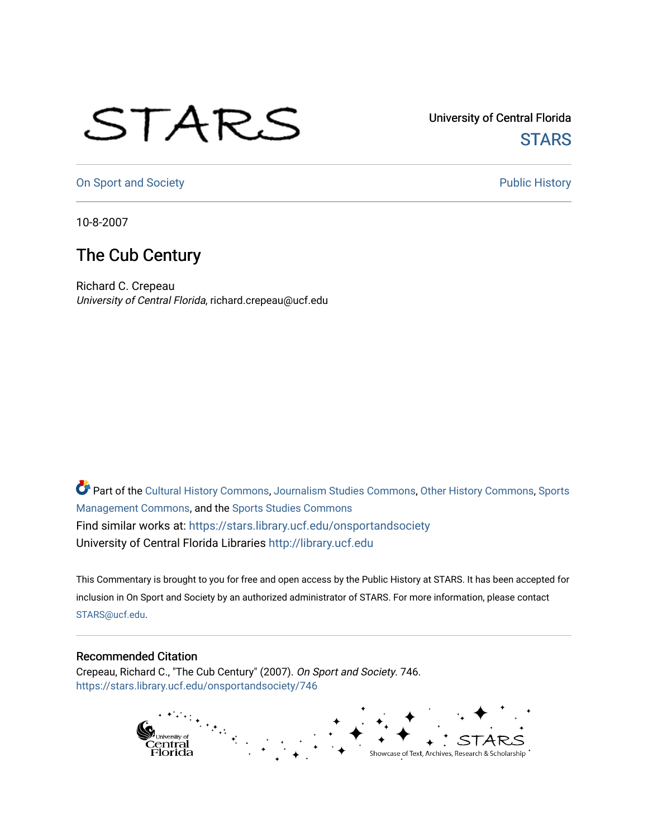## STARS

University of Central Florida **STARS** 

[On Sport and Society](https://stars.library.ucf.edu/onsportandsociety) **Public History** Public History

10-8-2007

## The Cub Century

Richard C. Crepeau University of Central Florida, richard.crepeau@ucf.edu

Part of the [Cultural History Commons](http://network.bepress.com/hgg/discipline/496?utm_source=stars.library.ucf.edu%2Fonsportandsociety%2F746&utm_medium=PDF&utm_campaign=PDFCoverPages), [Journalism Studies Commons,](http://network.bepress.com/hgg/discipline/333?utm_source=stars.library.ucf.edu%2Fonsportandsociety%2F746&utm_medium=PDF&utm_campaign=PDFCoverPages) [Other History Commons,](http://network.bepress.com/hgg/discipline/508?utm_source=stars.library.ucf.edu%2Fonsportandsociety%2F746&utm_medium=PDF&utm_campaign=PDFCoverPages) [Sports](http://network.bepress.com/hgg/discipline/1193?utm_source=stars.library.ucf.edu%2Fonsportandsociety%2F746&utm_medium=PDF&utm_campaign=PDFCoverPages) [Management Commons](http://network.bepress.com/hgg/discipline/1193?utm_source=stars.library.ucf.edu%2Fonsportandsociety%2F746&utm_medium=PDF&utm_campaign=PDFCoverPages), and the [Sports Studies Commons](http://network.bepress.com/hgg/discipline/1198?utm_source=stars.library.ucf.edu%2Fonsportandsociety%2F746&utm_medium=PDF&utm_campaign=PDFCoverPages) Find similar works at: <https://stars.library.ucf.edu/onsportandsociety> University of Central Florida Libraries [http://library.ucf.edu](http://library.ucf.edu/) 

This Commentary is brought to you for free and open access by the Public History at STARS. It has been accepted for inclusion in On Sport and Society by an authorized administrator of STARS. For more information, please contact [STARS@ucf.edu](mailto:STARS@ucf.edu).

## Recommended Citation

Crepeau, Richard C., "The Cub Century" (2007). On Sport and Society. 746. [https://stars.library.ucf.edu/onsportandsociety/746](https://stars.library.ucf.edu/onsportandsociety/746?utm_source=stars.library.ucf.edu%2Fonsportandsociety%2F746&utm_medium=PDF&utm_campaign=PDFCoverPages)

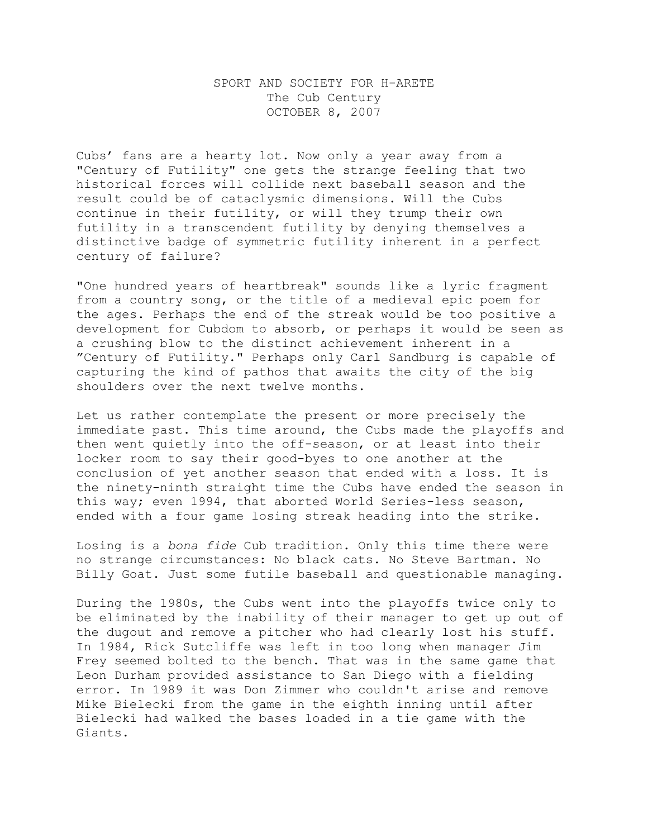## SPORT AND SOCIETY FOR H-ARETE The Cub Century OCTOBER 8, 2007

Cubs' fans are a hearty lot. Now only a year away from a "Century of Futility" one gets the strange feeling that two historical forces will collide next baseball season and the result could be of cataclysmic dimensions. Will the Cubs continue in their futility, or will they trump their own futility in a transcendent futility by denying themselves a distinctive badge of symmetric futility inherent in a perfect century of failure?

"One hundred years of heartbreak" sounds like a lyric fragment from a country song, or the title of a medieval epic poem for the ages. Perhaps the end of the streak would be too positive a development for Cubdom to absorb, or perhaps it would be seen as a crushing blow to the distinct achievement inherent in a "Century of Futility." Perhaps only Carl Sandburg is capable of capturing the kind of pathos that awaits the city of the big shoulders over the next twelve months.

Let us rather contemplate the present or more precisely the immediate past. This time around, the Cubs made the playoffs and then went quietly into the off-season, or at least into their locker room to say their good-byes to one another at the conclusion of yet another season that ended with a loss. It is the ninety-ninth straight time the Cubs have ended the season in this way; even 1994, that aborted World Series-less season, ended with a four game losing streak heading into the strike.

Losing is a *bona fide* Cub tradition. Only this time there were no strange circumstances: No black cats. No Steve Bartman. No Billy Goat. Just some futile baseball and questionable managing.

During the 1980s, the Cubs went into the playoffs twice only to be eliminated by the inability of their manager to get up out of the dugout and remove a pitcher who had clearly lost his stuff. In 1984, Rick Sutcliffe was left in too long when manager Jim Frey seemed bolted to the bench. That was in the same game that Leon Durham provided assistance to San Diego with a fielding error. In 1989 it was Don Zimmer who couldn't arise and remove Mike Bielecki from the game in the eighth inning until after Bielecki had walked the bases loaded in a tie game with the Giants.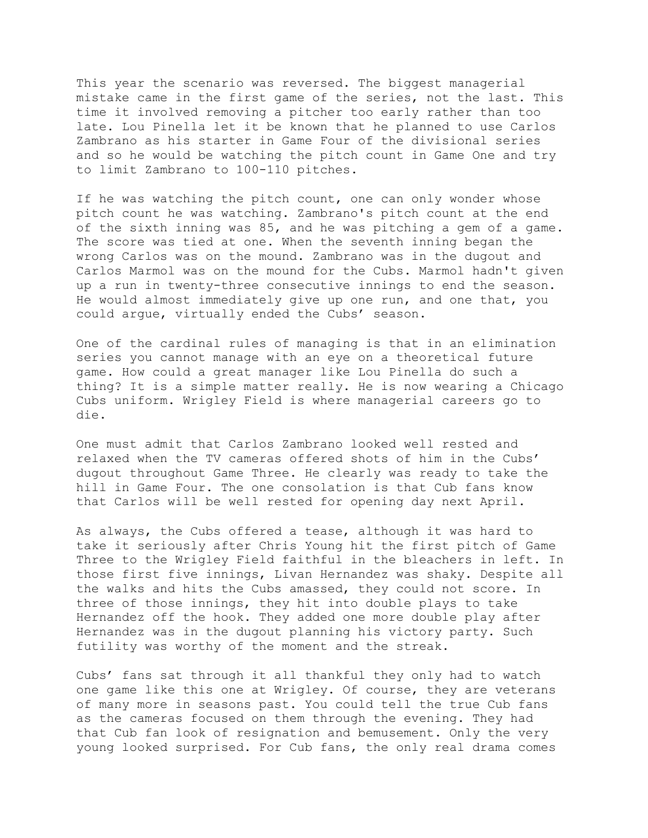This year the scenario was reversed. The biggest managerial mistake came in the first game of the series, not the last. This time it involved removing a pitcher too early rather than too late. Lou Pinella let it be known that he planned to use Carlos Zambrano as his starter in Game Four of the divisional series and so he would be watching the pitch count in Game One and try to limit Zambrano to 100-110 pitches.

If he was watching the pitch count, one can only wonder whose pitch count he was watching. Zambrano's pitch count at the end of the sixth inning was 85, and he was pitching a gem of a game. The score was tied at one. When the seventh inning began the wrong Carlos was on the mound. Zambrano was in the dugout and Carlos Marmol was on the mound for the Cubs. Marmol hadn't given up a run in twenty-three consecutive innings to end the season. He would almost immediately give up one run, and one that, you could argue, virtually ended the Cubs' season.

One of the cardinal rules of managing is that in an elimination series you cannot manage with an eye on a theoretical future game. How could a great manager like Lou Pinella do such a thing? It is a simple matter really. He is now wearing a Chicago Cubs uniform. Wrigley Field is where managerial careers go to die.

One must admit that Carlos Zambrano looked well rested and relaxed when the TV cameras offered shots of him in the Cubs' dugout throughout Game Three. He clearly was ready to take the hill in Game Four. The one consolation is that Cub fans know that Carlos will be well rested for opening day next April.

As always, the Cubs offered a tease, although it was hard to take it seriously after Chris Young hit the first pitch of Game Three to the Wrigley Field faithful in the bleachers in left. In those first five innings, Livan Hernandez was shaky. Despite all the walks and hits the Cubs amassed, they could not score. In three of those innings, they hit into double plays to take Hernandez off the hook. They added one more double play after Hernandez was in the dugout planning his victory party. Such futility was worthy of the moment and the streak.

Cubs' fans sat through it all thankful they only had to watch one game like this one at Wrigley. Of course, they are veterans of many more in seasons past. You could tell the true Cub fans as the cameras focused on them through the evening. They had that Cub fan look of resignation and bemusement. Only the very young looked surprised. For Cub fans, the only real drama comes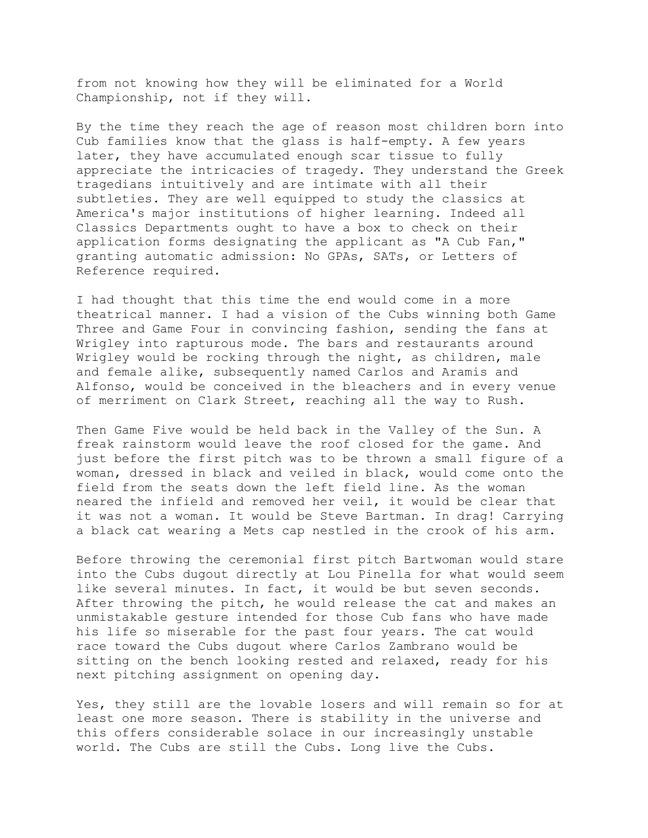from not knowing how they will be eliminated for a World Championship, not if they will.

By the time they reach the age of reason most children born into Cub families know that the glass is half-empty. A few years later, they have accumulated enough scar tissue to fully appreciate the intricacies of tragedy. They understand the Greek tragedians intuitively and are intimate with all their subtleties. They are well equipped to study the classics at America's major institutions of higher learning. Indeed all Classics Departments ought to have a box to check on their application forms designating the applicant as "A Cub Fan," granting automatic admission: No GPAs, SATs, or Letters of Reference required.

I had thought that this time the end would come in a more theatrical manner. I had a vision of the Cubs winning both Game Three and Game Four in convincing fashion, sending the fans at Wrigley into rapturous mode. The bars and restaurants around Wrigley would be rocking through the night, as children, male and female alike, subsequently named Carlos and Aramis and Alfonso, would be conceived in the bleachers and in every venue of merriment on Clark Street, reaching all the way to Rush.

Then Game Five would be held back in the Valley of the Sun. A freak rainstorm would leave the roof closed for the game. And just before the first pitch was to be thrown a small figure of a woman, dressed in black and veiled in black, would come onto the field from the seats down the left field line. As the woman neared the infield and removed her veil, it would be clear that it was not a woman. It would be Steve Bartman. In drag! Carrying a black cat wearing a Mets cap nestled in the crook of his arm.

Before throwing the ceremonial first pitch Bartwoman would stare into the Cubs dugout directly at Lou Pinella for what would seem like several minutes. In fact, it would be but seven seconds. After throwing the pitch, he would release the cat and makes an unmistakable gesture intended for those Cub fans who have made his life so miserable for the past four years. The cat would race toward the Cubs dugout where Carlos Zambrano would be sitting on the bench looking rested and relaxed, ready for his next pitching assignment on opening day.

Yes, they still are the lovable losers and will remain so for at least one more season. There is stability in the universe and this offers considerable solace in our increasingly unstable world. The Cubs are still the Cubs. Long live the Cubs.